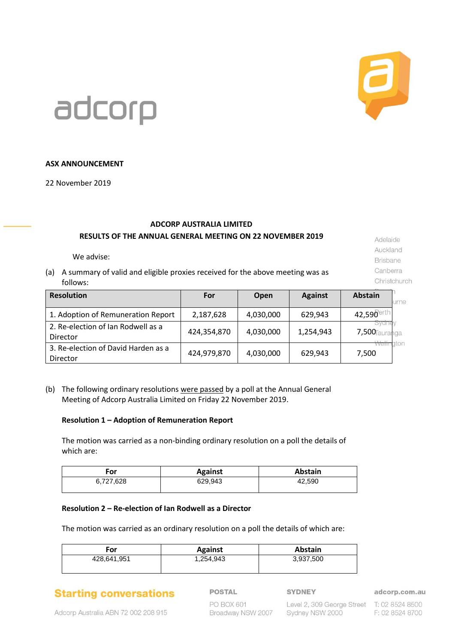

# adcorp

#### **ASX ANNOUNCEMENT**

22 November 2019

## **ADCORP AUSTRALIA LIMITED**

### **RESULTS OF THE ANNUAL GENERAL MEETING ON 22 NOVEMBER 2019**

We advise:

(a) A summary of valid and eligible proxies received for the above meeting was as follows:

Adelaide Auckland

**Brisbane** Canberra

Christchurch

- **Resolution For Open Against Abstain** urne 1. Adoption of Remuneration Report | 2,187,628 | 4,030,000 | 629,943 | 42,590 <sup>erth</sup> 2. Re-election of Ian Rodwell as a 2. The creation of faithce are the director and the 424,354,870 | 4,030,000 | 1,254,943 | 7,500 aton 3. Re-election of David Harden as a Director 424,979,870 4,030,000 629,943 7,500
- (b) The following ordinary resolutions were passed by a poll at the Annual General Meeting of Adcorp Australia Limited on Friday 22 November 2019.

#### **Resolution 1 – Adoption of Remuneration Report**

The motion was carried as a non-binding ordinary resolution on a poll the details of which are:

| ÷or       | <b>Against</b> | <b>Abstain</b> |
|-----------|----------------|----------------|
| 6,727,628 | 629,943        | 42.590         |

#### **Resolution 2 – Re-election of Ian Rodwell as a Director**

The motion was carried as an ordinary resolution on a poll the details of which are:

| For         | <b>Against</b> | Abstain   |
|-------------|----------------|-----------|
| 428,641,951 | 1,254,943      | 3,937,500 |

## **Starting conversations**

#### **POSTAL**

**SYDNEY** 

adcorp.com.au

Adcorp Australia ABN 72 002 208 915

PO BOX 601 Broadway NSW 2007

Level 2, 309 George Street T: 02 8524 8500 Sydney NSW 2000

F: 02 8524 8700